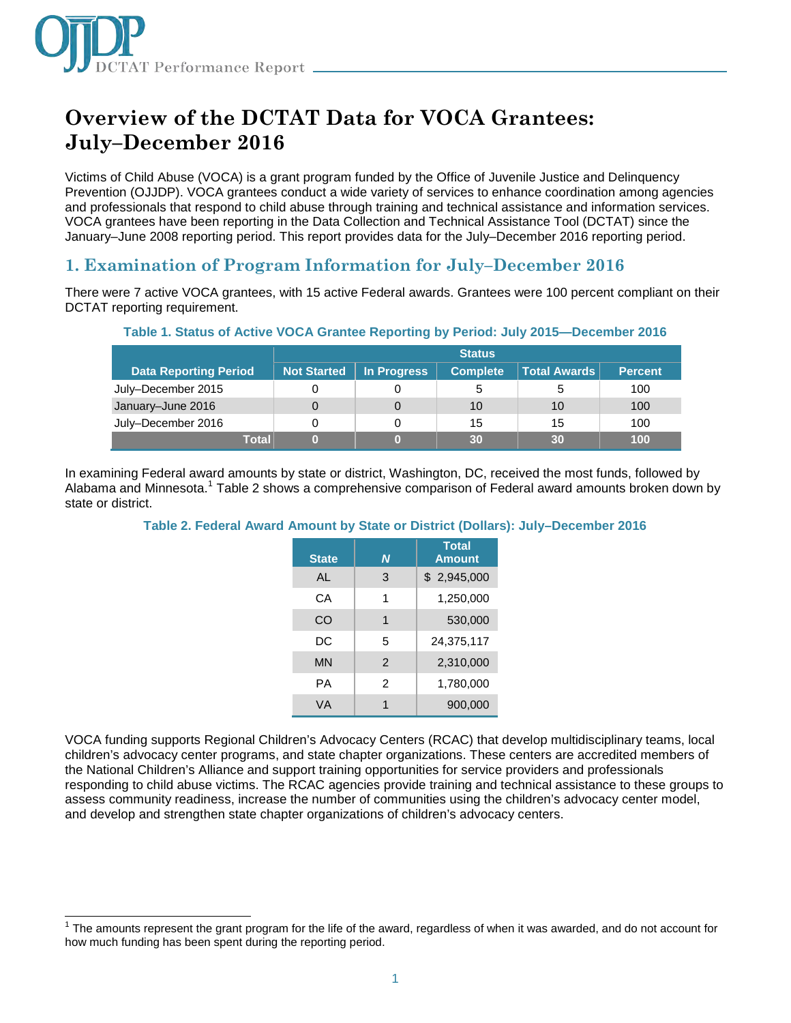

# **Overview of the DCTAT Data for VOCA Grantees: July–December 2016**

Victims of Child Abuse (VOCA) is a grant program funded by the Office of Juvenile Justice and Delinquency Prevention (OJJDP). VOCA grantees conduct a wide variety of services to enhance coordination among agencies and professionals that respond to child abuse through training and technical assistance and information services. VOCA grantees have been reporting in the Data Collection and Technical Assistance Tool (DCTAT) since the January–June 2008 reporting period. This report provides data for the July–December 2016 reporting period.

### **1. Examination of Program Information for July–December 2016**

There were 7 active VOCA grantees, with 15 active Federal awards. Grantees were 100 percent compliant on their DCTAT reporting requirement.

|                              |                    |             | <b>Status</b>   |              |                |  |
|------------------------------|--------------------|-------------|-----------------|--------------|----------------|--|
| <b>Data Reporting Period</b> | <b>Not Started</b> | In Progress | <b>Complete</b> | Total Awards | <b>Percent</b> |  |
| July–December 2015           | 0                  |             | 5               |              | 100            |  |
| January-June 2016            | 0                  |             | 10              | 10           | 100            |  |
| July-December 2016           | 0                  |             | 15              | 15           | 100            |  |
| Totall                       |                    |             | 30              | 30           | 100            |  |

#### **Table 1. Status of Active VOCA Grantee Reporting by Period: July 2015—December 2016**

In examining Federal award amounts by state or district, Washington, DC, received the most funds, followed by Alabama and Minnesota.<sup>1</sup> Table 2 shows a comprehensive comparison of Federal award amounts broken down by state or district.

#### **Table 2. Federal Award Amount by State or District (Dollars): July–December 2016**

| <b>State</b> | N              | <b>Total</b><br><b>Amount</b> |
|--------------|----------------|-------------------------------|
| AL           | 3              | \$2,945,000                   |
| CА           | 1              | 1,250,000                     |
| CO           | 1              | 530,000                       |
| DC           | 5              | 24,375,117                    |
| <b>MN</b>    | $\mathcal{P}$  | 2,310,000                     |
| PА           | $\mathfrak{p}$ | 1,780,000                     |
| <b>VA</b>    | 1              | 900,000                       |

VOCA funding supports Regional Children's Advocacy Centers (RCAC) that develop multidisciplinary teams, local children's advocacy center programs, and state chapter organizations. These centers are accredited members of the National Children's Alliance and support training opportunities for service providers and professionals responding to child abuse victims. The RCAC agencies provide training and technical assistance to these groups to assess community readiness, increase the number of communities using the children's advocacy center model, and develop and strengthen state chapter organizations of children's advocacy centers.

j <sup>1</sup> The amounts represent the grant program for the life of the award, regardless of when it was awarded, and do not account for how much funding has been spent during the reporting period.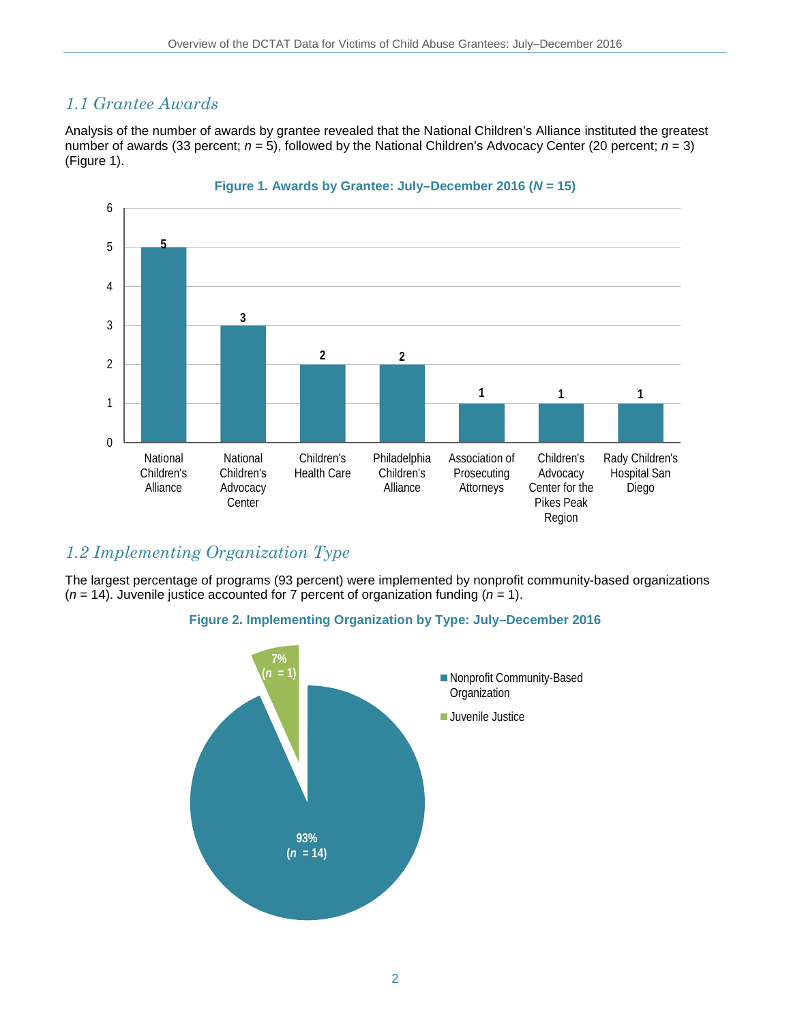### *1.1 Grantee Awards*

Analysis of the number of awards by grantee revealed that the National Children's Alliance instituted the greatest number of awards (33 percent; *n* = 5), followed by the National Children's Advocacy Center (20 percent; *n* = 3) (Figure 1).



### *1.2 Implementing Organization Type*

The largest percentage of programs (93 percent) were implemented by nonprofit community-based organizations (*n* = 14). Juvenile justice accounted for 7 percent of organization funding (*n* = 1).

#### **Figure 2. Implementing Organization by Type: July–December 2016**